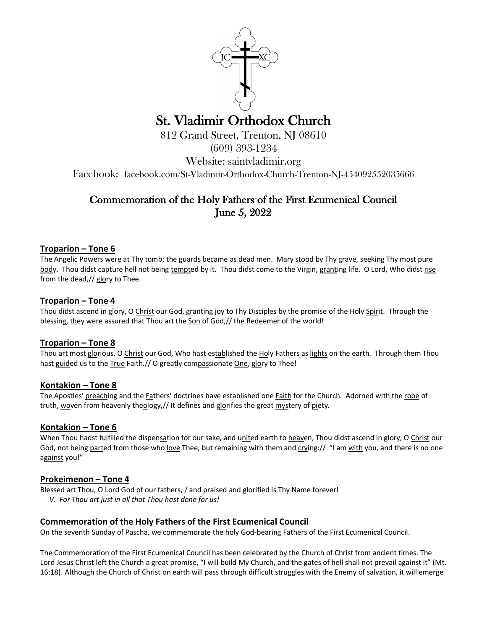

# St. Vladimir Orthodox Church<br>812 Grand Street, Trenton, NJ 08610

(609) 393-1234

Website: saintvladimir.org

Facebook: facebook.com/St-Vladimir-Orthodox-Church-Trenton-NJ-454092552035666

# Commemoration of the Holy Fathers of the First Ecumenical Council June 5, 2022

# **Troparion – Tone 6**

The Angelic Powers were at Thy tomb; the guards became as dead men. Mary stood by Thy grave, seeking Thy most pure body. Thou didst capture hell not being tempted by it. Thou didst come to the Virgin, granting life. O Lord, Who didst rise from the dead,// glory to Thee.

# **Troparion – Tone 4**

Thou didst ascend in glory, O Christ our God, granting joy to Thy Disciples by the promise of the Holy Spirit. Through the blessing, they were assured that Thou art the Son of God,// the Redeemer of the world!

# **Troparion – Tone 8**

Thou art most glorious, O Christ our God, Who hast established the Holy Fathers as lights on the earth. Through them Thou hast guided us to the True Faith.// O greatly compassionate One, glory to Thee!

# **Kontakion – Tone 8**

The Apostles' preaching and the Fathers' doctrines have established one Faith for the Church. Adorned with the robe of truth, woven from heavenly theology,// It defines and glorifies the great mystery of piety.

# **Kontakion – Tone 6**

When Thou hadst fulfilled the dispensation for our sake, and united earth to heaven, Thou didst ascend in glory, O Christ our God, not being parted from those who love Thee, but remaining with them and crying:// "I am with you, and there is no one against you!"

# **Prokeimenon – Tone 4**

Blessed art Thou, O Lord God of our fathers, / and praised and glorified is Thy Name forever! *V. For Thou art just in all that Thou hast done for us!*

# **Commemoration of the Holy Fathers of the First Ecumenical Council**

On the seventh Sunday of Pascha, we commemorate the holy God-bearing Fathers of the First Ecumenical Council.

The Commemoration of the First Ecumenical Council has been celebrated by the Church of Christ from ancient times. The Lord Jesus Christ left the Church a great promise, "I will build My Church, and the gates of hell shall not prevail against it" (Mt. 16:18). Although the Church of Christ on earth will pass through difficult struggles with the Enemy of salvation, it will emerge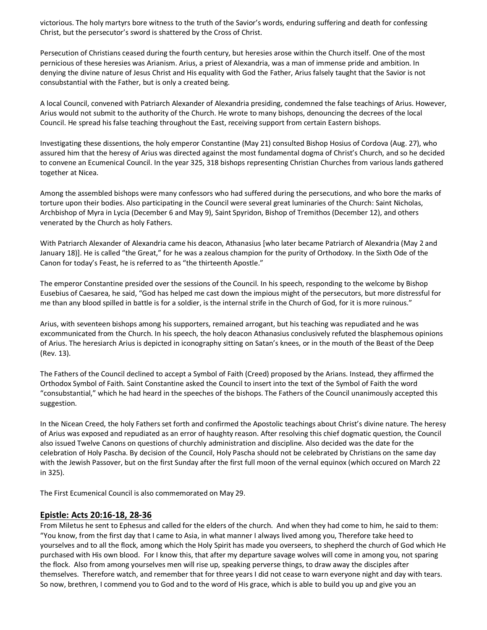victorious. The holy martyrs bore witness to the truth of the Savior's words, enduring suffering and death for confessing Christ, but the persecutor's sword is shattered by the Cross of Christ.

Persecution of Christians ceased during the fourth century, but heresies arose within the Church itself. One of the most pernicious of these heresies was Arianism. Arius, a priest of Alexandria, was a man of immense pride and ambition. In denying the divine nature of Jesus Christ and His equality with God the Father, Arius falsely taught that the Savior is not consubstantial with the Father, but is only a created being.

A local Council, convened with Patriarch Alexander of Alexandria presiding, condemned the false teachings of Arius. However, Arius would not submit to the authority of the Church. He wrote to many bishops, denouncing the decrees of the local Council. He spread his false teaching throughout the East, receiving support from certain Eastern bishops.

Investigating these dissentions, the holy emperor Constantine (May 21) consulted Bishop Hosius of Cordova (Aug. 27), who assured him that the heresy of Arius was directed against the most fundamental dogma of Christ's Church, and so he decided to convene an Ecumenical Council. In the year 325, 318 bishops representing Christian Churches from various lands gathered together at Nicea.

Among the assembled bishops were many confessors who had suffered during the persecutions, and who bore the marks of torture upon their bodies. Also participating in the Council were several great luminaries of the Church: Saint Nicholas, Archbishop of Myra in Lycia (December 6 and May 9), Saint Spyridon, Bishop of Tremithos (December 12), and others venerated by the Church as holy Fathers.

With Patriarch Alexander of Alexandria came his deacon, Athanasius [who later became Patriarch of Alexandria (May 2 and January 18)]. He is called "the Great," for he was a zealous champion for the purity of Orthodoxy. In the Sixth Ode of the Canon for today's Feast, he is referred to as "the thirteenth Apostle."

The emperor Constantine presided over the sessions of the Council. In his speech, responding to the welcome by Bishop Eusebius of Caesarea, he said, "God has helped me cast down the impious might of the persecutors, but more distressful for me than any blood spilled in battle is for a soldier, is the internal strife in the Church of God, for it is more ruinous."

Arius, with seventeen bishops among his supporters, remained arrogant, but his teaching was repudiated and he was excommunicated from the Church. In his speech, the holy deacon Athanasius conclusively refuted the blasphemous opinions of Arius. The heresiarch Arius is depicted in iconography sitting on Satan's knees, or in the mouth of the Beast of the Deep (Rev. 13).

The Fathers of the Council declined to accept a Symbol of Faith (Creed) proposed by the Arians. Instead, they affirmed the Orthodox Symbol of Faith. Saint Constantine asked the Council to insert into the text of the Symbol of Faith the word "consubstantial," which he had heard in the speeches of the bishops. The Fathers of the Council unanimously accepted this suggestion.

In the Nicean Creed, the holy Fathers set forth and confirmed the Apostolic teachings about Christ's divine nature. The heresy of Arius was exposed and repudiated as an error of haughty reason. After resolving this chief dogmatic question, the Council also issued Twelve Canons on questions of churchly administration and discipline. Also decided was the date for the celebration of Holy Pascha. By decision of the Council, Holy Pascha should not be celebrated by Christians on the same day with the Jewish Passover, but on the first Sunday after the first full moon of the vernal equinox (which occured on March 22 in 325).

The First Ecumenical Council is also commemorated on May 29.

#### **Epistle: Acts 20:16-18, 28-36**

From Miletus he sent to Ephesus and called for the elders of the church. And when they had come to him, he said to them: "You know, from the first day that I came to Asia, in what manner I always lived among you, Therefore take heed to yourselves and to all the flock, among which the Holy Spirit has made you overseers, to shepherd the church of God which He purchased with His own blood. For I know this, that after my departure savage wolves will come in among you, not sparing the flock. Also from among yourselves men will rise up, speaking perverse things, to draw away the disciples after themselves. Therefore watch, and remember that for three years I did not cease to warn everyone night and day with tears. So now, brethren, I commend you to God and to the word of His grace, which is able to build you up and give you an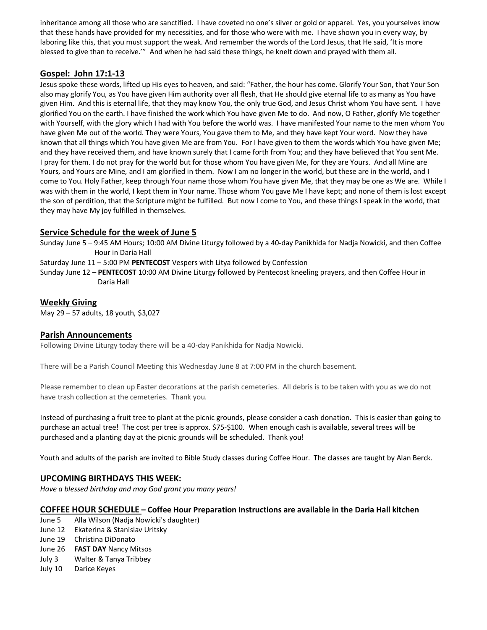inheritance among all those who are sanctified. I have coveted no one's silver or gold or apparel. Yes, you yourselves know that these hands have provided for my necessities, and for those who were with me. I have shown you in every way, by laboring like this, that you must support the weak. And remember the words of the Lord Jesus, that He said, 'It is more blessed to give than to receive.'" And when he had said these things, he knelt down and prayed with them all.

# **Gospel: John 17:1-13**

Jesus spoke these words, lifted up His eyes to heaven, and said: "Father, the hour has come. Glorify Your Son, that Your Son also may glorify You, as You have given Him authority over all flesh, that He should give eternal life to as many as You have given Him. And this is eternal life, that they may know You, the only true God, and Jesus Christ whom You have sent. I have glorified You on the earth. I have finished the work which You have given Me to do. And now, O Father, glorify Me together with Yourself, with the glory which I had with You before the world was. I have manifested Your name to the men whom You have given Me out of the world. They were Yours, You gave them to Me, and they have kept Your word. Now they have known that all things which You have given Me are from You. For I have given to them the words which You have given Me; and they have received them, and have known surely that I came forth from You; and they have believed that You sent Me. I pray for them. I do not pray for the world but for those whom You have given Me, for they are Yours. And all Mine are Yours, and Yours are Mine, and I am glorified in them. Now I am no longer in the world, but these are in the world, and I come to You. Holy Father, keep through Your name those whom You have given Me, that they may be one as We are. While I was with them in the world, I kept them in Your name. Those whom You gave Me I have kept; and none of them is lost except the son of perdition, that the Scripture might be fulfilled. But now I come to You, and these things I speak in the world, that they may have My joy fulfilled in themselves.

# **Service Schedule for the week of June 5**

Sunday June 5 – 9:45 AM Hours; 10:00 AM Divine Liturgy followed by a 40-day Panikhida for Nadja Nowicki, and then Coffee Hour in Daria Hall

Saturday June 11 – 5:00 PM **PENTECOST** Vespers with Litya followed by Confession

Sunday June 12 – **PENTECOST** 10:00 AM Divine Liturgy followed by Pentecost kneeling prayers, and then Coffee Hour in Daria Hall

# **Weekly Giving**

May 29 – 57 adults, 18 youth, \$3,027

# **Parish Announcements**

Following Divine Liturgy today there will be a 40-day Panikhida for Nadja Nowicki.

There will be a Parish Council Meeting this Wednesday June 8 at 7:00 PM in the church basement.

Please remember to clean up Easter decorations at the parish cemeteries. All debris is to be taken with you as we do not have trash collection at the cemeteries. Thank you.

Instead of purchasing a fruit tree to plant at the picnic grounds, please consider a cash donation. This is easier than going to purchase an actual tree! The cost per tree is approx. \$75-\$100. When enough cash is available, several trees will be purchased and a planting day at the picnic grounds will be scheduled. Thank you!

Youth and adults of the parish are invited to Bible Study classes during Coffee Hour. The classes are taught by Alan Berck.

# **UPCOMING BIRTHDAYS THIS WEEK:**

*Have a blessed birthday and may God grant you many years!*

# **COFFEE HOUR SCHEDULE – Coffee Hour Preparation Instructions are available in the Daria Hall kitchen**

- June 5 Alla Wilson (Nadja Nowicki's daughter)
- June 12 Ekaterina & Stanislav Uritsky
- June 19 Christina DiDonato
- June 26 **FAST DAY** Nancy Mitsos
- July 3 Walter & Tanya Tribbey
- July 10 Darice Keyes